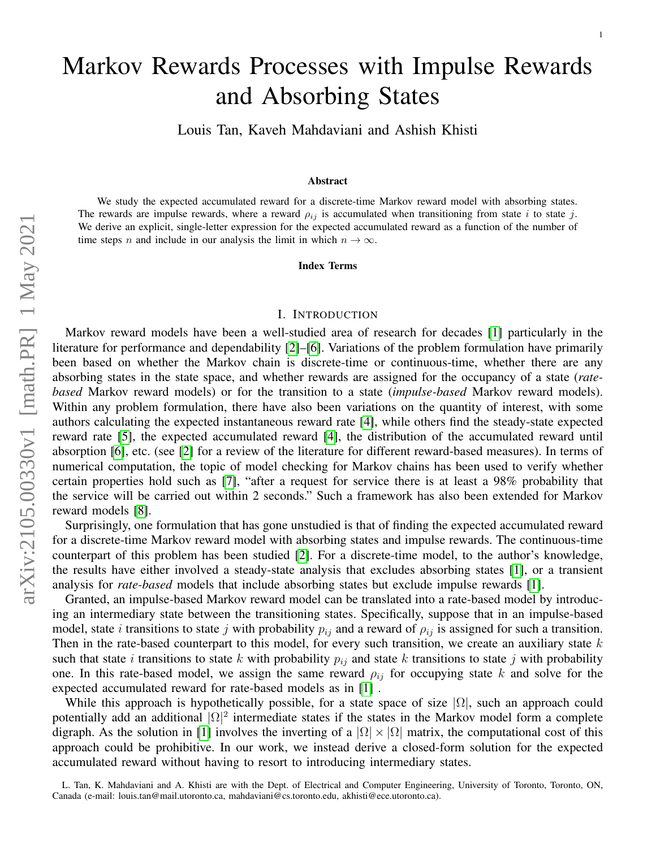# We study the expected accumulated reward for a discrete-time Markov reward model with absorbing states. The rewards are impulse rewards, where a reward  $\rho_{ij}$  is accumulated when transitioning from state i to state j. We derive an explicit, single-letter expression for the expected accumulated reward as a function of the number of time steps n and include in our analysis the limit in which  $n \to \infty$ .

#### I. INTRODUCTION

Index Terms

Markov Rewards Processes with Impulse Rewards

and Absorbing States

Louis Tan, Kaveh Mahdaviani and Ashish Khisti

Abstract

Markov reward models have been a well-studied area of research for decades [\[1\]](#page-11-0) particularly in the literature for performance and dependability [\[2\]](#page-11-1)–[\[6\]](#page-11-2). Variations of the problem formulation have primarily been based on whether the Markov chain is discrete-time or continuous-time, whether there are any absorbing states in the state space, and whether rewards are assigned for the occupancy of a state (*ratebased* Markov reward models) or for the transition to a state (*impulse-based* Markov reward models). Within any problem formulation, there have also been variations on the quantity of interest, with some authors calculating the expected instantaneous reward rate [\[4\]](#page-11-3), while others find the steady-state expected reward rate [\[5\]](#page-11-4), the expected accumulated reward [\[4\]](#page-11-3), the distribution of the accumulated reward until absorption [\[6\]](#page-11-2), etc. (see [\[2\]](#page-11-1) for a review of the literature for different reward-based measures). In terms of numerical computation, the topic of model checking for Markov chains has been used to verify whether certain properties hold such as [\[7\]](#page-11-5), "after a request for service there is at least a 98% probability that the service will be carried out within 2 seconds." Such a framework has also been extended for Markov reward models [\[8\]](#page-11-6).

Surprisingly, one formulation that has gone unstudied is that of finding the expected accumulated reward for a discrete-time Markov reward model with absorbing states and impulse rewards. The continuous-time counterpart of this problem has been studied [\[2\]](#page-11-1). For a discrete-time model, to the author's knowledge, the results have either involved a steady-state analysis that excludes absorbing states [\[1\]](#page-11-0), or a transient analysis for *rate-based* models that include absorbing states but exclude impulse rewards [\[1\]](#page-11-0).

Granted, an impulse-based Markov reward model can be translated into a rate-based model by introducing an intermediary state between the transitioning states. Specifically, suppose that in an impulse-based model, state *i* transitions to state j with probability  $p_{ij}$  and a reward of  $\rho_{ij}$  is assigned for such a transition. Then in the rate-based counterpart to this model, for every such transition, we create an auxiliary state  $k$ such that state i transitions to state k with probability  $p_{ij}$  and state k transitions to state j with probability one. In this rate-based model, we assign the same reward  $\rho_{ij}$  for occupying state k and solve for the expected accumulated reward for rate-based models as in [\[1\]](#page-11-0) .

While this approach is hypothetically possible, for a state space of size  $|\Omega|$ , such an approach could potentially add an additional  $|\Omega|^2$  intermediate states if the states in the Markov model form a complete digraph. As the solution in [\[1\]](#page-11-0) involves the inverting of a  $|\Omega| \times |\Omega|$  matrix, the computational cost of this approach could be prohibitive. In our work, we instead derive a closed-form solution for the expected accumulated reward without having to resort to introducing intermediary states.

L. Tan, K. Mahdaviani and A. Khisti are with the Dept. of Electrical and Computer Engineering, University of Toronto, Toronto, ON, Canada (e-mail: louis.tan@mail.utoronto.ca, mahdaviani@cs.toronto.edu, akhisti@ece.utoronto.ca).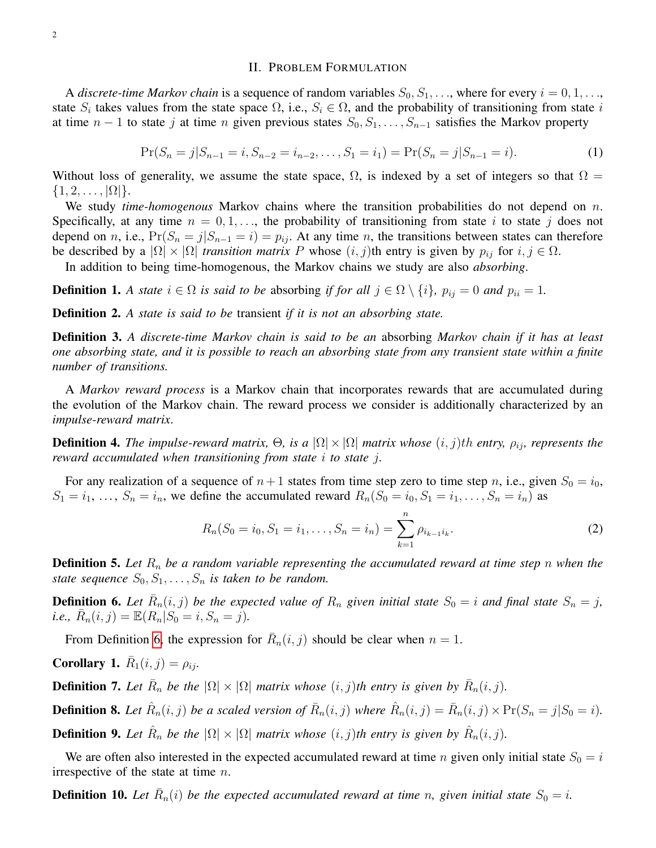#### II. PROBLEM FORMULATION

A *discrete-time Markov chain* is a sequence of random variables  $S_0, S_1, \ldots$ , where for every  $i = 0, 1, \ldots$ , state  $S_i$  takes values from the state space  $\Omega$ , i.e.,  $S_i \in \Omega$ , and the probability of transitioning from state i at time  $n-1$  to state j at time n given previous states  $S_0, S_1, \ldots, S_{n-1}$  satisfies the Markov property

$$
\Pr(S_n = j | S_{n-1} = i, S_{n-2} = i_{n-2}, \dots, S_1 = i_1) = \Pr(S_n = j | S_{n-1} = i).
$$
\n(1)

Without loss of generality, we assume the state space,  $\Omega$ , is indexed by a set of integers so that  $\Omega =$  $\{1, 2, \ldots, |\Omega|\}.$ 

We study *time-homogenous* Markov chains where the transition probabilities do not depend on n. Specifically, at any time  $n = 0, 1, \ldots$ , the probability of transitioning from state i to state j does not depend on n, i.e.,  $Pr(S_n = j | S_{n-1} = i) = p_{ij}$ . At any time n, the transitions between states can therefore be described by a  $|\Omega| \times |\Omega|$  *transition matrix* P whose  $(i, j)$ th entry is given by  $p_{ij}$  for  $i, j \in \Omega$ .

In addition to being time-homogenous, the Markov chains we study are also *absorbing*.

**Definition 1.** *A state*  $i \in \Omega$  *is said to be absorbing if for all*  $j \in \Omega \setminus \{i\}$ *,*  $p_{ij} = 0$  *and*  $p_{ii} = 1$ *.* 

Definition 2. *A state is said to be* transient *if it is not an absorbing state.*

Definition 3. *A discrete-time Markov chain is said to be an* absorbing *Markov chain if it has at least one absorbing state, and it is possible to reach an absorbing state from any transient state within a finite number of transitions.*

A *Markov reward process* is a Markov chain that incorporates rewards that are accumulated during the evolution of the Markov chain. The reward process we consider is additionally characterized by an *impulse-reward matrix*.

**Definition 4.** The impulse-reward matrix,  $\Theta$ , is a  $|\Omega| \times |\Omega|$  matrix whose  $(i, j)$ th entry,  $\rho_{ij}$ , represents the *reward accumulated when transitioning from state* i *to state* j*.*

For any realization of a sequence of  $n+1$  states from time step zero to time step n, i.e., given  $S_0 = i_0$ ,  $S_1 = i_1, \ldots, S_n = i_n$ , we define the accumulated reward  $R_n(S_0 = i_0, S_1 = i_1, \ldots, S_n = i_n)$  as

<span id="page-1-3"></span>
$$
R_n(S_0 = i_0, S_1 = i_1, \dots, S_n = i_n) = \sum_{k=1}^n \rho_{i_{k-1}i_k}.
$$
 (2)

<span id="page-1-6"></span>**Definition 5.** Let  $R_n$  be a random variable representing the accumulated reward at time step n when the *state sequence*  $S_0, S_1, \ldots, S_n$  *is taken to be random.* 

<span id="page-1-0"></span>**Definition 6.** Let  $\overline{R}_n(i,j)$  be the expected value of  $R_n$  given initial state  $S_0 = i$  and final state  $S_n = j$ ,  $i.e., \ \bar{R}_n(i,j) = \mathbb{E}(R_n|S_0 = i, S_n = j).$ 

From Definition [6,](#page-1-0) the expression for  $\overline{R}_n(i,j)$  should be clear when  $n = 1$ .

<span id="page-1-2"></span>**Corollary 1.**  $\bar{R}_1(i, j) = \rho_{ij}$ .

**Definition 7.** Let  $\overline{R}_n$  be the  $|\Omega| \times |\Omega|$  matrix whose  $(i, j)$ th entry is given by  $\overline{R}_n(i, j)$ .

<span id="page-1-1"></span>**Definition 8.** Let  $\hat{R}_n(i, j)$  be a scaled version of  $\bar{R}_n(i, j)$  where  $\hat{R}_n(i, j) = \bar{R}_n(i, j) \times Pr(S_n = j | S_0 = i)$ .

<span id="page-1-4"></span>**Definition 9.** Let  $\hat{R}_n$  be the  $|\Omega| \times |\Omega|$  matrix whose  $(i, j)$ th entry is given by  $\hat{R}_n(i, j)$ .

We are often also interested in the expected accumulated reward at time n given only initial state  $S_0 = i$ irrespective of the state at time  $n$ .

<span id="page-1-5"></span>**Definition 10.** Let  $\bar{R}_n(i)$  be the expected accumulated reward at time n, given initial state  $S_0 = i$ .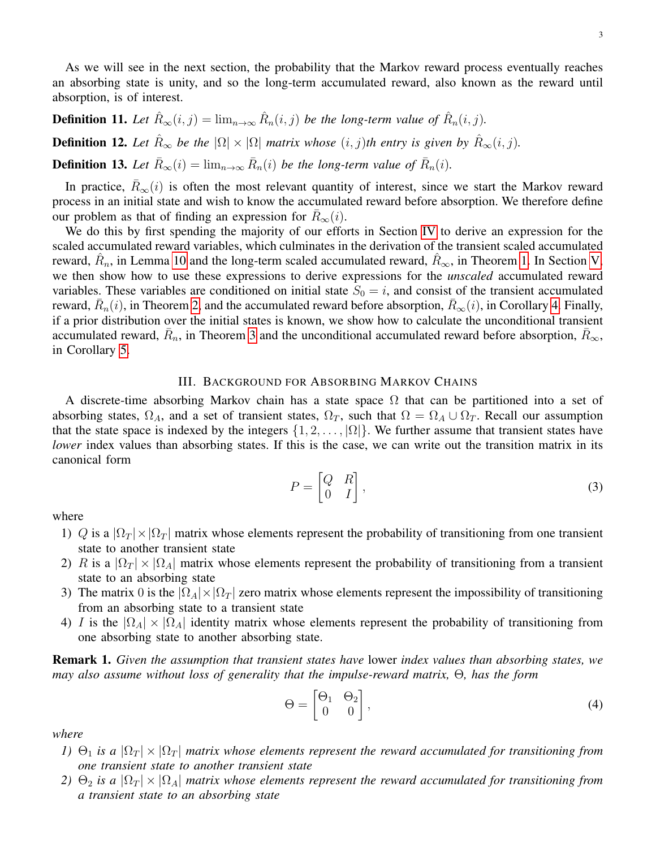As we will see in the next section, the probability that the Markov reward process eventually reaches an absorbing state is unity, and so the long-term accumulated reward, also known as the reward until absorption, is of interest.

<span id="page-2-4"></span><span id="page-2-2"></span>**Definition 11.** Let  $\hat{R}_{\infty}(i,j) = \lim_{n \to \infty} \hat{R}_n(i,j)$  be the long-term value of  $\hat{R}_n(i,j)$ . **Definition 12.** Let  $\hat{R}_{\infty}$  be the  $|\Omega| \times |\Omega|$  matrix whose  $(i, j)$ th entry is given by  $\hat{R}_{\infty}(i, j)$ . **Definition 13.** Let  $\bar{R}_{\infty}(i) = \lim_{n \to \infty} \bar{R}_n(i)$  be the long-term value of  $\bar{R}_n(i)$ .

<span id="page-2-3"></span>In practice,  $R_{\infty}(i)$  is often the most relevant quantity of interest, since we start the Markov reward process in an initial state and wish to know the accumulated reward before absorption. We therefore define our problem as that of finding an expression for  $R_\infty(i)$ .

We do this by first spending the majority of our efforts in Section [IV](#page-4-0) to derive an expression for the scaled accumulated reward variables, which culminates in the derivation of the transient scaled accumulated reward,  $\hat{R}_n$ , in Lemma [10](#page-6-0) and the long-term scaled accumulated reward,  $\hat{R}_{\infty}$ , in Theorem [1.](#page-8-0) In Section [V,](#page-9-0) we then show how to use these expressions to derive expressions for the *unscaled* accumulated reward variables. These variables are conditioned on initial state  $S_0 = i$ , and consist of the transient accumulated reward,  $\bar{R}_n(i)$ , in Theorem [2,](#page-9-1) and the accumulated reward before absorption,  $\bar{R}_\infty(i)$ , in Corollary [4.](#page-9-2) Finally, if a prior distribution over the initial states is known, we show how to calculate the unconditional transient accumulated reward,  $\bar{R}_n$ , in Theorem [3](#page-9-3) and the unconditional accumulated reward before absorption,  $\bar{R}_{\infty}$ , in Corollary [5.](#page-10-0)

### III. BACKGROUND FOR ABSORBING MARKOV CHAINS

A discrete-time absorbing Markov chain has a state space  $\Omega$  that can be partitioned into a set of absorbing states,  $\Omega_A$ , and a set of transient states,  $\Omega_T$ , such that  $\Omega = \Omega_A \cup \Omega_T$ . Recall our assumption that the state space is indexed by the integers  $\{1, 2, \ldots, |\Omega|\}$ . We further assume that transient states have *lower* index values than absorbing states. If this is the case, we can write out the transition matrix in its canonical form

<span id="page-2-1"></span>
$$
P = \begin{bmatrix} Q & R \\ 0 & I \end{bmatrix},\tag{3}
$$

where

- 1) Q is a  $|\Omega_T| \times |\Omega_T|$  matrix whose elements represent the probability of transitioning from one transient state to another transient state
- 2) R is a  $|\Omega_T| \times |\Omega_A|$  matrix whose elements represent the probability of transitioning from a transient state to an absorbing state
- 3) The matrix 0 is the  $|\Omega_A| \times |\Omega_T|$  zero matrix whose elements represent the impossibility of transitioning from an absorbing state to a transient state
- 4) I is the  $|\Omega_A| \times |\Omega_A|$  identity matrix whose elements represent the probability of transitioning from one absorbing state to another absorbing state.

<span id="page-2-0"></span>Remark 1. *Given the assumption that transient states have* lower *index values than absorbing states, we may also assume without loss of generality that the impulse-reward matrix,* Θ*, has the form*

$$
\Theta = \begin{bmatrix} \Theta_1 & \Theta_2 \\ 0 & 0 \end{bmatrix},\tag{4}
$$

*where*

- *1)*  $\Theta_1$  *is a*  $|\Omega_T| \times |\Omega_T|$  *matrix whose elements represent the reward accumulated for transitioning from one transient state to another transient state*
- *2*)  $\Theta_2$  *is a*  $|\Omega_T| \times |\Omega_A|$  *matrix whose elements represent the reward accumulated for transitioning from a transient state to an absorbing state*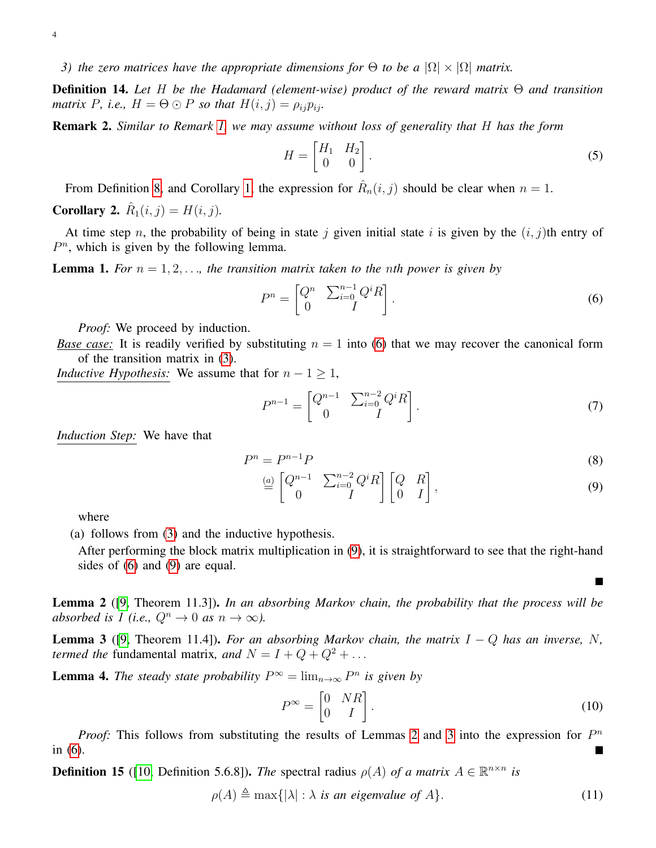*3)* the zero matrices have the appropriate dimensions for  $\Theta$  to be a  $|\Omega| \times |\Omega|$  matrix.

<span id="page-3-4"></span>Definition 14. *Let* H *be the Hadamard (element-wise) product of the reward matrix* Θ *and transition matrix* P, *i.e.*,  $H = \Theta \odot P$  *so that*  $H(i, j) = \rho_{ij} p_{ij}$ .

<span id="page-3-6"></span>Remark 2. *Similar to Remark [1,](#page-2-0) we may assume without loss of generality that* H *has the form*

$$
H = \begin{bmatrix} H_1 & H_2 \\ 0 & 0 \end{bmatrix} . \tag{5}
$$

From Definition [8,](#page-1-1) and Corollary [1,](#page-1-2) the expression for  $\hat{R}_n(i,j)$  should be clear when  $n=1$ .

<span id="page-3-5"></span>**Corollary 2.**  $\hat{R}_1(i, j) = H(i, j)$ .

At time step n, the probability of being in state j given initial state i is given by the  $(i, j)$ th entry of  $P<sup>n</sup>$ , which is given by the following lemma.

<span id="page-3-7"></span>**Lemma 1.** For  $n = 1, 2, \ldots$ , the transition matrix taken to the nth power is given by

<span id="page-3-0"></span>
$$
P^n = \begin{bmatrix} Q^n & \sum_{i=0}^{n-1} Q^i R \\ 0 & I \end{bmatrix} . \tag{6}
$$

*Proof:* We proceed by induction.

*Base case:* It is readily verified by substituting  $n = 1$  into [\(6\)](#page-3-0) that we may recover the canonical form of the transition matrix in [\(3\)](#page-2-1).

*Inductive Hypothesis:* We assume that for  $n - 1 \geq 1$ ,

$$
P^{n-1} = \begin{bmatrix} Q^{n-1} & \sum_{i=0}^{n-2} Q^i R \\ 0 & I \end{bmatrix}.
$$
 (7)

*Induction Step:* We have that

$$
P^n = P^{n-1}P \tag{8}
$$

$$
\stackrel{(a)}{=} \begin{bmatrix} Q^{n-1} & \sum_{i=0}^{n-2} Q^i R \\ 0 & I \end{bmatrix} \begin{bmatrix} Q & R \\ 0 & I \end{bmatrix},\tag{9}
$$

where

(a) follows from [\(3\)](#page-2-1) and the inductive hypothesis.

After performing the block matrix multiplication in [\(9\)](#page-3-1), it is straightforward to see that the right-hand sides of [\(6\)](#page-3-0) and [\(9\)](#page-3-1) are equal.

<span id="page-3-2"></span>Lemma 2 ([\[9,](#page-11-7) Theorem 11.3]). *In an absorbing Markov chain, the probability that the process will be absorbed is 1 (i.e.,*  $Q^n \to 0$  *as*  $n \to \infty$ *).* 

<span id="page-3-3"></span>**Lemma 3** ([\[9,](#page-11-7) Theorem 11.4]). *For an absorbing Markov chain, the matrix*  $I - Q$  *has an inverse, N, termed the* fundamental matrix, and  $N = I + Q + Q^2 + ...$ 

<span id="page-3-8"></span>**Lemma 4.** The steady state probability  $P^{\infty} = \lim_{n \to \infty} P^n$  is given by

$$
P^{\infty} = \begin{bmatrix} 0 & NR \\ 0 & I \end{bmatrix}.
$$
 (10)

<span id="page-3-1"></span>П

*Proof:* This follows from substituting the results of Lemmas [2](#page-3-2) and [3](#page-3-3) into the expression for  $P<sup>n</sup>$ in [\(6\)](#page-3-0).

**Definition 15** ([\[10,](#page-11-8) Definition 5.6.8]). *The* spectral radius  $\rho(A)$  *of a matrix*  $A \in \mathbb{R}^{n \times n}$  *is* 

$$
\rho(A) \triangleq \max\{|\lambda| : \lambda \text{ is an eigenvalue of } A\}. \tag{11}
$$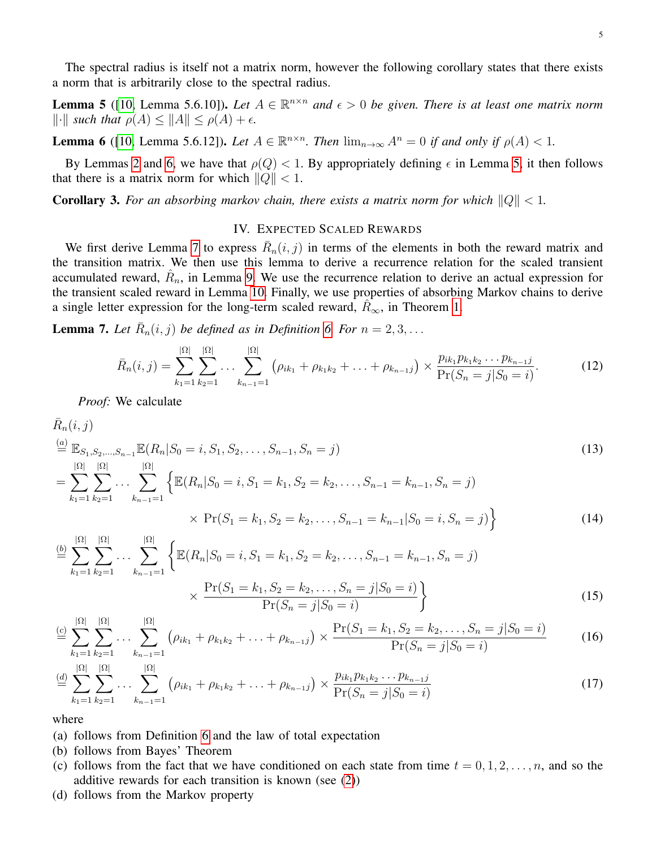The spectral radius is itself not a matrix norm, however the following corollary states that there exists a norm that is arbitrarily close to the spectral radius.

<span id="page-4-2"></span>**Lemma 5** ([\[10,](#page-11-8) Lemma 5.6.10]). Let  $A \in \mathbb{R}^{n \times n}$  and  $\epsilon > 0$  be given. There is at least one matrix norm  $\|\cdot\|$  *such that*  $\rho(A) \leq \|A\| \leq \rho(A) + \epsilon$ .

<span id="page-4-1"></span>**Lemma 6** ([\[10,](#page-11-8) Lemma 5.6.12]). Let  $A \in \mathbb{R}^{n \times n}$ . Then  $\lim_{n \to \infty} A^n = 0$  if and only if  $\rho(A) < 1$ .

By Lemmas [2](#page-3-2) and [6,](#page-4-1) we have that  $\rho(Q) < 1$ . By appropriately defining  $\epsilon$  in Lemma [5,](#page-4-2) it then follows that there is a matrix norm for which  $\|Q\| < 1$ .

<span id="page-4-4"></span>**Corollary 3.** For an absorbing markov chain, there exists a matrix norm for which  $||Q|| < 1$ .

# IV. EXPECTED SCALED REWARDS

<span id="page-4-0"></span>We first derive Lemma [7](#page-4-3) to express  $\bar{R}_n(i, j)$  in terms of the elements in both the reward matrix and the transition matrix. We then use this lemma to derive a recurrence relation for the scaled transient accumulated reward,  $\hat{R}_n$ , in Lemma [9.](#page-5-0) We use the recurrence relation to derive an actual expression for the transient scaled reward in Lemma [10.](#page-6-0) Finally, we use properties of absorbing Markov chains to derive a single letter expression for the long-term scaled reward,  $R_{\infty}$ , in Theorem [1.](#page-8-0)

<span id="page-4-3"></span>**Lemma 7.** Let  $\overline{R}_n(i, j)$  be defined as in Definition [6.](#page-1-0) For  $n = 2, 3, ...$ 

$$
\bar{R}_n(i,j) = \sum_{k_1=1}^{|\Omega|} \sum_{k_2=1}^{|\Omega|} \dots \sum_{k_{n-1}=1}^{|\Omega|} \left( \rho_{ik_1} + \rho_{k_1k_2} + \dots + \rho_{k_{n-1}j} \right) \times \frac{p_{ik_1} p_{k_1k_2} \dots p_{k_{n-1}j}}{\Pr(S_n = j | S_0 = i)}.
$$
(12)

*Proof:* We calculate

$$
\bar{R}_n(i,j)
$$
\n
$$
\stackrel{(a)}{=} \mathbb{E}_{S_1, S_2, \dots, S_{n-1}} \mathbb{E}(R_n | S_0 = i, S_1, S_2, \dots, S_{n-1}, S_n = j)
$$
\n
$$
= \sum_{k_1=1}^{|{\Omega}|} \sum_{k_2=1}^{|{\Omega}|} \dots \sum_{k_{n-1}=1}^{|{\Omega}|} \left\{ \mathbb{E}(R_n | S_0 = i, S_1 = k_1, S_2 = k_2, \dots, S_{n-1} = k_{n-1}, S_n = j) \right\}
$$
\n
$$
\times \Pr(S_1 = k_1, S_2 = k_2, \dots, S_{n-1} = k_{n-1} | S_0 = i, S_n = j) \right\}
$$
\n(14)

$$
\stackrel{(b)}{=} \sum_{k_1=1}^{|\Omega|} \sum_{k_2=1}^{|\Omega|} \cdots \sum_{k_{n-1}=1}^{|\Omega|} \left\{ \mathbb{E}(R_n | S_0 = i, S_1 = k_1, S_2 = k_2, \dots, S_{n-1} = k_{n-1}, S_n = j) \times \frac{\Pr(S_1 = k_1, S_2 = k_2, \dots, S_n = j | S_0 = i)}{\Pr(S_n = j | S_0 = i)} \right\}
$$
\n(15)

$$
\stackrel{(c)}{=} \sum_{k_1=1}^{|\Omega|} \sum_{k_2=1}^{|\Omega|} \dots \sum_{k_{n-1}=1}^{|\Omega|} \left( \rho_{ik_1} + \rho_{k_1k_2} + \dots + \rho_{k_{n-1}j} \right) \times \frac{\Pr(S_1 = k_1, S_2 = k_2, \dots, S_n = j | S_0 = i)}{\Pr(S_n = j | S_0 = i)} \tag{16}
$$

$$
\stackrel{(d)}{=} \sum_{k_1=1}^{|\mathfrak{U}|} \sum_{k_2=1}^{|\mathfrak{U}|} \cdots \sum_{k_{n-1}=1}^{|\mathfrak{U}|} \left( \rho_{ik_1} + \rho_{k_1 k_2} + \ldots + \rho_{k_{n-1} j} \right) \times \frac{p_{ik_1} p_{k_1 k_2} \cdots p_{k_{n-1} j}}{\Pr(S_n = j | S_0 = i)} \tag{17}
$$

where

- (a) follows from Definition [6](#page-1-0) and the law of total expectation
- (b) follows from Bayes' Theorem
- (c) follows from the fact that we have conditioned on each state from time  $t = 0, 1, 2, \ldots, n$ , and so the additive rewards for each transition is known (see [\(2\)](#page-1-3))
- (d) follows from the Markov property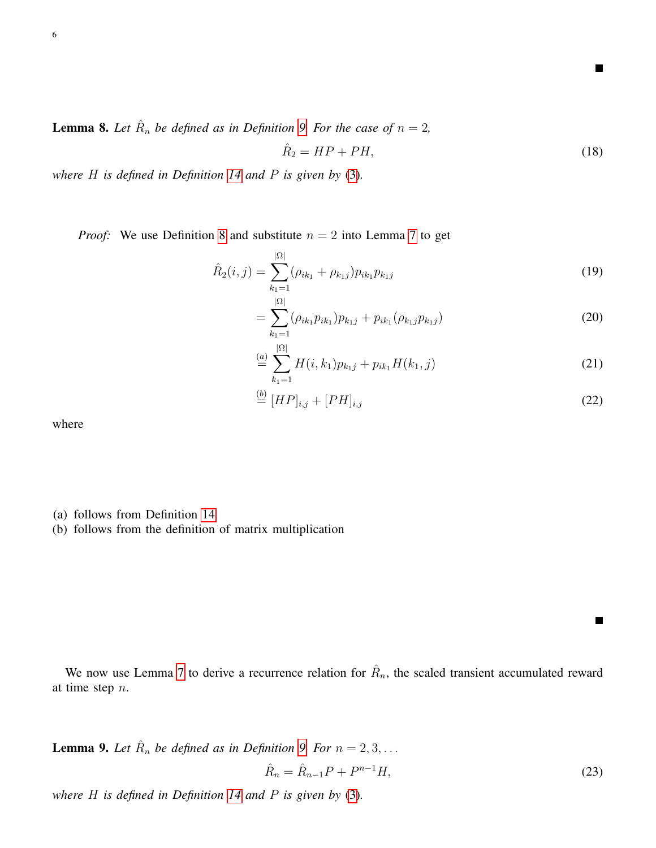**Lemma 8.** Let  $\hat{R}_n$  be defined as in Definition [9.](#page-1-4) For the case of  $n = 2$ ,

<span id="page-5-1"></span>
$$
\hat{R}_2 = HP + PH,\tag{18}
$$

П

 $\blacksquare$ 

*where* H *is defined in Definition [14](#page-3-4) and* P *is given by* [\(3\)](#page-2-1)*.*

*Proof:* We use Definition [8](#page-1-1) and substitute  $n = 2$  into Lemma [7](#page-4-3) to get

$$
\hat{R}_2(i,j) = \sum_{k_1=1}^{|\Omega|} (\rho_{ik_1} + \rho_{k_1j}) p_{ik_1} p_{k_1j}
$$
\n(19)

$$
= \sum_{k_1=1}^{|s_1|} (\rho_{ik_1} p_{ik_1}) p_{k_1j} + p_{ik_1} (\rho_{k_1j} p_{k_1j}) \tag{20}
$$

$$
\stackrel{(a)}{=} \sum_{k_1=1}^{|\Omega|} H(i,k_1) p_{k_1j} + p_{ik_1} H(k_1,j) \tag{21}
$$

$$
\stackrel{(b)}{=} [HP]_{i,j} + [PH]_{i,j} \tag{22}
$$

where

- (a) follows from Definition [14](#page-3-4)
- (b) follows from the definition of matrix multiplication

<span id="page-5-0"></span>We now use Lemma [7](#page-4-3) to derive a recurrence relation for  $\hat{R}_n$ , the scaled transient accumulated reward at time step n.

**Lemma [9.](#page-1-4)** Let  $\hat{R}_n$  be defined as in Definition 9. For  $n = 2, 3, ...$ 

<span id="page-5-2"></span>
$$
\hat{R}_n = \hat{R}_{n-1}P + P^{n-1}H,\tag{23}
$$

*where* H *is defined in Definition [14](#page-3-4) and* P *is given by* [\(3\)](#page-2-1)*.*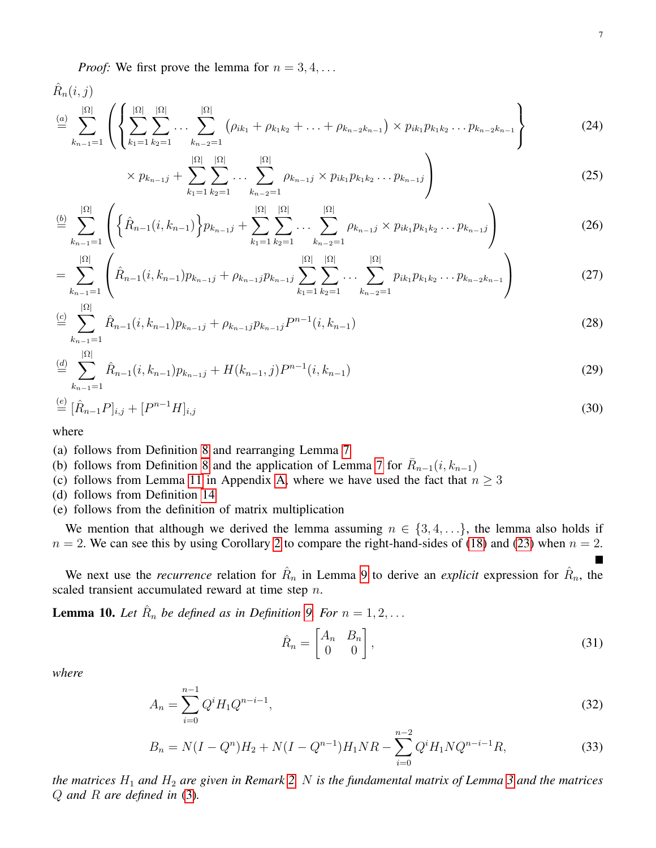*Proof:* We first prove the lemma for  $n = 3, 4, \ldots$ 

 $\hat{R}_n(i,j)$ 

$$
\stackrel{(a)}{=} \sum_{k_{n-1}=1}^{|\Omega|} \left( \left\{ \sum_{k_1=1}^{|\Omega|} \sum_{k_2=1}^{|\Omega|} \dots \sum_{k_{n-2}=1}^{|\Omega|} \left( \rho_{ik_1} + \rho_{k_1k_2} + \dots + \rho_{k_{n-2}k_{n-1}} \right) \times p_{ik_1} p_{k_1k_2} \dots p_{k_{n-2}k_{n-1}} \right\} \tag{24}
$$

$$
\times p_{k_{n-1}j} + \sum_{k_1=1}^{|\Omega|} \sum_{k_2=1}^{|\Omega|} \dots \sum_{k_{n-2}=1}^{|\Omega|} \rho_{k_{n-1}j} \times p_{ik_1} p_{k_1k_2} \dots p_{k_{n-1}j} \Bigg)
$$
(25)

$$
\stackrel{(b)}{=} \sum_{k_{n-1}=1}^{|\Omega|} \left( \left\{ \hat{R}_{n-1}(i,k_{n-1}) \right\} p_{k_{n-1}j} + \sum_{k_1=1}^{|\Omega|} \sum_{k_2=1}^{|\Omega|} \dots \sum_{k_{n-2}=1}^{|\Omega|} \rho_{k_{n-1}j} \times p_{ik_1} p_{k_1 k_2} \dots p_{k_{n-1}j} \right) \tag{26}
$$

$$
= \sum_{k_{n-1}=1}^{|\Omega|} \left( \hat{R}_{n-1}(i,k_{n-1}) p_{k_{n-1}j} + \rho_{k_{n-1}j} p_{k_{n-1}j} \sum_{k_1=1}^{|\Omega|} \sum_{k_2=1}^{|\Omega|} \dots \sum_{k_{n-2}=1}^{|\Omega|} p_{ik_1} p_{k_1 k_2} \dots p_{k_{n-2}k_{n-1}} \right)
$$
(27)

$$
\stackrel{(c)}{=} \sum_{k_{n-1}=1}^{n} \hat{R}_{n-1}(i,k_{n-1}) p_{k_{n-1}j} + \rho_{k_{n-1}j} p_{k_{n-1}j} P^{n-1}(i,k_{n-1}) \tag{28}
$$

$$
\stackrel{(d)}{=} \sum_{k_{n-1}=1}^{|\Omega|} \hat{R}_{n-1}(i,k_{n-1}) p_{k_{n-1}j} + H(k_{n-1},j) P^{n-1}(i,k_{n-1}) \tag{29}
$$

$$
\stackrel{(e)}{=} [\hat{R}_{n-1}P]_{i,j} + [P^{n-1}H]_{i,j} \tag{30}
$$

where

(a) follows from Definition [8](#page-1-1) and rearranging Lemma [7](#page-4-3)

(b) follows from Definition [8](#page-1-1) and the application of Lemma [7](#page-4-3) for  $\bar{R}_{n-1}(i, k_{n-1})$ 

(c) follows from Lemma [11](#page-10-1) in Appendix [A,](#page-10-2) where we have used the fact that  $n \geq 3$ 

(d) follows from Definition [14](#page-3-4)

(e) follows from the definition of matrix multiplication

We mention that although we derived the lemma assuming  $n \in \{3, 4, ...\}$ , the lemma also holds if  $n = 2$  $n = 2$ . We can see this by using Corollary 2 to compare the right-hand-sides of [\(18\)](#page-5-1) and [\(23\)](#page-5-2) when  $n = 2$ .

We next use the *recurrence* relation for  $\hat{R}_n$  in Lemma [9](#page-5-0) to derive an *explicit* expression for  $\hat{R}_n$ , the scaled transient accumulated reward at time step n.

<span id="page-6-0"></span>**Lemma 10.** Let  $\hat{R}_n$  be defined as in Definition [9.](#page-1-4) For  $n = 1, 2, ...$ 

<span id="page-6-1"></span>
$$
\hat{R}_n = \begin{bmatrix} A_n & B_n \\ 0 & 0 \end{bmatrix},\tag{31}
$$

*where*

$$
A_n = \sum_{i=0}^{n-1} Q^i H_1 Q^{n-i-1},\tag{32}
$$

$$
B_n = N(I - Q^n)H_2 + N(I - Q^{n-1})H_1NR - \sum_{i=0}^{n-2} Q^i H_1 N Q^{n-i-1}R,
$$
\n(33)

*the matrices* H<sup>1</sup> *and* H<sup>2</sup> *are given in Remark [2,](#page-3-6)* N *is the fundamental matrix of Lemma [3](#page-3-3) and the matrices* Q *and* R *are defined in* [\(3\)](#page-2-1)*.*

<span id="page-6-3"></span><span id="page-6-2"></span> $\blacksquare$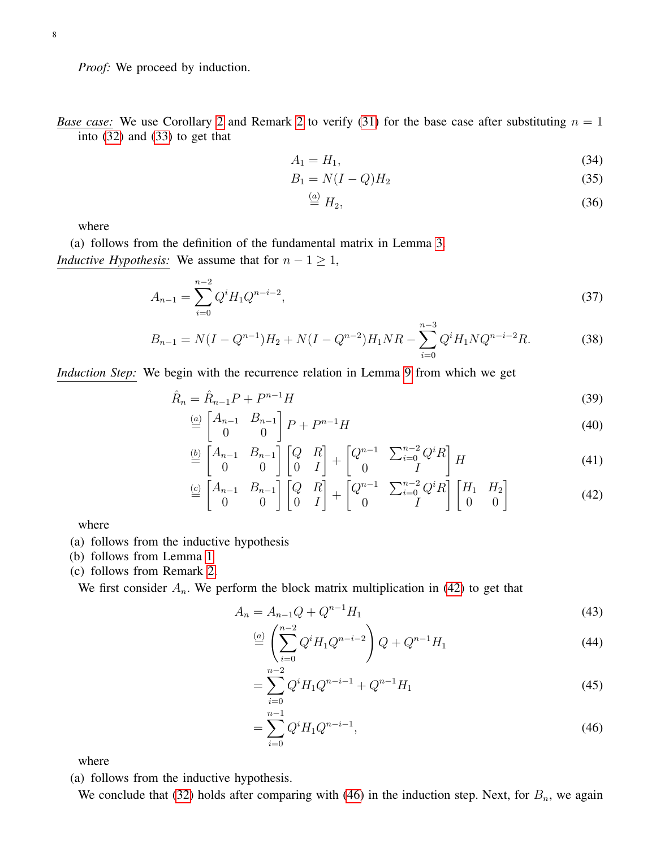*Proof:* We proceed by induction.

*Base case:* We use Corollary [2](#page-3-6) and Remark 2 to verify [\(31\)](#page-6-1) for the base case after substituting  $n = 1$ into [\(32\)](#page-6-2) and [\(33\)](#page-6-3) to get that

$$
A_1 = H_1,\tag{34}
$$

$$
B_1 = N(I - Q)H_2 \tag{35}
$$

$$
\stackrel{(a)}{=} H_2,\tag{36}
$$

where

(a) follows from the definition of the fundamental matrix in Lemma [3.](#page-3-3) *Inductive Hypothesis:* We assume that for  $n - 1 \geq 1$ ,

$$
A_{n-1} = \sum_{i=0}^{n-2} Q^i H_1 Q^{n-i-2},\tag{37}
$$

$$
B_{n-1} = N(I - Q^{n-1})H_2 + N(I - Q^{n-2})H_1NR - \sum_{i=0}^{n-3} Q^i H_1 N Q^{n-i-2}R.
$$
 (38)

*Induction Step:* We begin with the recurrence relation in Lemma [9](#page-5-0) from which we get

$$
\hat{R}_n = \hat{R}_{n-1}P + P^{n-1}H
$$
\n(39)

$$
\stackrel{\text{(a)}}{=} \begin{bmatrix} A_{n-1} & B_{n-1} \\ 0 & 0 \end{bmatrix} P + P^{n-1} H \tag{40}
$$

$$
\stackrel{\text{(b)}}{=} \begin{bmatrix} A_{n-1} & B_{n-1} \\ 0 & 0 \end{bmatrix} \begin{bmatrix} Q & R \\ 0 & I \end{bmatrix} + \begin{bmatrix} Q^{n-1} & \sum_{i=0}^{n-2} Q^i R \\ 0 & I \end{bmatrix} H \tag{41}
$$

$$
\stackrel{(c)}{=} \begin{bmatrix} A_{n-1} & B_{n-1} \\ 0 & 0 \end{bmatrix} \begin{bmatrix} Q & R \\ 0 & I \end{bmatrix} + \begin{bmatrix} Q^{n-1} & \sum_{i=0}^{n-2} Q^i R \\ 0 & I \end{bmatrix} \begin{bmatrix} H_1 & H_2 \\ 0 & 0 \end{bmatrix} \tag{42}
$$

where

- (a) follows from the inductive hypothesis
- (b) follows from Lemma [1](#page-3-7)
- (c) follows from Remark [2.](#page-3-6)

We first consider  $A_n$ . We perform the block matrix multiplication in [\(42\)](#page-7-0) to get that

$$
A_n = A_{n-1}Q + Q^{n-1}H_1
$$
\n(43)

<span id="page-7-0"></span>
$$
\stackrel{(a)}{=} \left(\sum_{i=0}^{n-2} Q^i H_1 Q^{n-i-2}\right) Q + Q^{n-1} H_1 \tag{44}
$$

$$
=\sum_{i=0}^{n-2} Q^i H_1 Q^{n-i-1} + Q^{n-1} H_1
$$
\n(45)

<span id="page-7-1"></span>
$$
=\sum_{i=0}^{n-1} Q^i H_1 Q^{n-i-1},\tag{46}
$$

where

(a) follows from the inductive hypothesis.

We conclude that [\(32\)](#page-6-2) holds after comparing with [\(46\)](#page-7-1) in the induction step. Next, for  $B_n$ , we again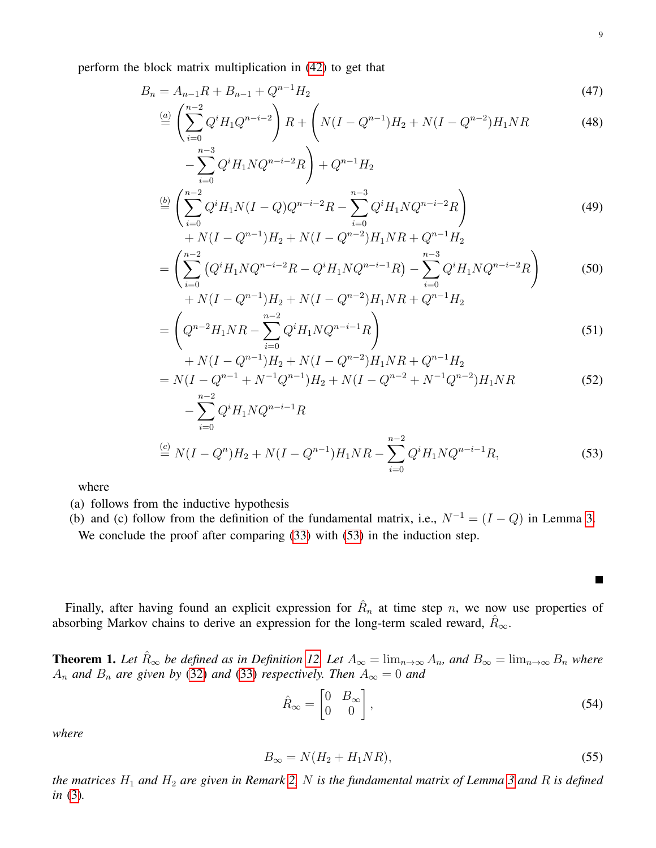perform the block matrix multiplication in [\(42\)](#page-7-0) to get that

$$
B_n = A_{n-1}R + B_{n-1} + Q^{n-1}H_2
$$
\n<sup>(47)</sup>

$$
\stackrel{(a)}{=} \left(\sum_{i=0}^{n-2} Q^i H_1 Q^{n-i-2}\right) R + \left(N(I - Q^{n-1})H_2 + N(I - Q^{n-2})H_1 NR\right)
$$
\n(48)

$$
-\sum_{i=0}^{n-3} Q^{i} H_{1} N Q^{n-i-2} R + Q^{n-1} H_{2}
$$
  
\n
$$
\stackrel{(b)}{=} \left( \sum_{i=0}^{n-2} Q^{i} H_{1} N (I - Q) Q^{n-i-2} R - \sum_{i=0}^{n-3} Q^{i} H_{1} N Q^{n-i-2} R \right)
$$
\n(49)

$$
+ N(I - Q^{n-1})H_2 + N(I - Q^{n-2})H_1NR + Q^{n-1}H_2
$$
  
= 
$$
\left(\sum_{i=0}^{n-2} (Q^i H_1 N Q^{n-i-2} R - Q^i H_1 N Q^{n-i-1} R) - \sum_{i=0}^{n-3} Q^i H_1 N Q^{n-i-2} R\right)
$$
  
+ 
$$
N(I - Q^{n-1})H_2 + N(I - Q^{n-2})H_1 NR + Q^{n-1}H_2
$$
 (50)

$$
= \left(Q^{n-2}H_1NR - \sum_{i=0}^{n-2} Q^iH_1NQ^{n-i-1}R\right)
$$
\n(51)

+ 
$$
N(I - Q^{n-1})H_2 + N(I - Q^{n-2})H_1NR + Q^{n-1}H_2
$$
  
=  $N(I - Q^{n-1} + N^{-1}Q^{n-1})H_2 + N(I - Q^{n-2} + N^{-1}Q^{n-2})H_1NR$  (52)

$$
-\sum_{i=0}^{n-2} Q^{i} H_{1} N Q^{n-i-1} R
$$
  
\n
$$
\stackrel{(c)}{=} N(I - Q^{n}) H_{2} + N(I - Q^{n-1}) H_{1} N R - \sum_{i=0}^{n-2} Q^{i} H_{1} N Q^{n-i-1} R,
$$
\n(53)

where

(a) follows from the inductive hypothesis

(b) and (c) follow from the definition of the fundamental matrix, i.e.,  $N^{-1} = (I - Q)$  in Lemma [3.](#page-3-3) We conclude the proof after comparing [\(33\)](#page-6-3) with [\(53\)](#page-8-1) in the induction step.

Finally, after having found an explicit expression for  $\hat{R}_n$  at time step n, we now use properties of absorbing Markov chains to derive an expression for the long-term scaled reward,  $R_{\infty}$ .

<span id="page-8-0"></span>**Theorem 1.** Let  $\hat{R}_{\infty}$  be defined as in Definition [12.](#page-2-2) Let  $A_{\infty} = \lim_{n \to \infty} A_n$ , and  $B_{\infty} = \lim_{n \to \infty} B_n$  where  $A_n$  *and*  $B_n$  *are given by* [\(32\)](#page-6-2) *and* [\(33\)](#page-6-3) *respectively. Then*  $A_\infty = 0$  *and* 

$$
\hat{R}_{\infty} = \begin{bmatrix} 0 & B_{\infty} \\ 0 & 0 \end{bmatrix},\tag{54}
$$

*where*

$$
B_{\infty} = N(H_2 + H_1 N R),\tag{55}
$$

*the matrices*  $H_1$  *and*  $H_2$  *are given in Remark* [2,](#page-3-6) N *is the fundamental matrix of Lemma* [3](#page-3-3) *and* R *is defined in* [\(3\)](#page-2-1)*.*

<span id="page-8-2"></span><span id="page-8-1"></span>П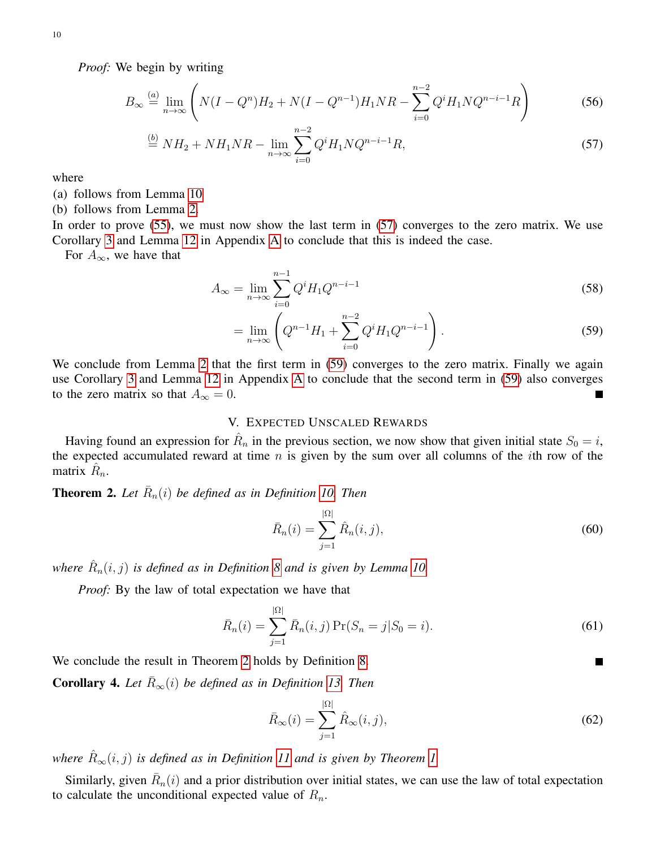*Proof:* We begin by writing

$$
B_{\infty} \stackrel{(a)}{=} \lim_{n \to \infty} \left( N(I - Q^n)H_2 + N(I - Q^{n-1})H_1NR - \sum_{i=0}^{n-2} Q^i H_1 N Q^{n-i-1}R \right) \tag{56}
$$

$$
\stackrel{(b)}{=} NH_2 + NH_1NR - \lim_{n \to \infty} \sum_{i=0}^{n-2} Q^i H_1 N Q^{n-i-1} R,\tag{57}
$$

where

- (a) follows from Lemma [10](#page-6-0)
- (b) follows from Lemma [2.](#page-3-2)

In order to prove [\(55\)](#page-8-2), we must now show the last term in [\(57\)](#page-9-4) converges to the zero matrix. We use Corollary [3](#page-4-4) and Lemma [12](#page-11-9) in Appendix [A](#page-10-2) to conclude that this is indeed the case.

For  $A_{\infty}$ , we have that

$$
A_{\infty} = \lim_{n \to \infty} \sum_{i=0}^{n-1} Q^i H_1 Q^{n-i-1}
$$
 (58)

<span id="page-9-4"></span>
$$
= \lim_{n \to \infty} \left( Q^{n-1} H_1 + \sum_{i=0}^{n-2} Q^i H_1 Q^{n-i-1} \right).
$$
 (59)

We conclude from Lemma [2](#page-3-2) that the first term in [\(59\)](#page-9-5) converges to the zero matrix. Finally we again use Corollary [3](#page-4-4) and Lemma [12](#page-11-9) in Appendix [A](#page-10-2) to conclude that the second term in [\(59\)](#page-9-5) also converges to the zero matrix so that  $A_{\infty} = 0$ .  $\blacksquare$ 

## V. EXPECTED UNSCALED REWARDS

<span id="page-9-0"></span>Having found an expression for  $\hat{R}_n$  in the previous section, we now show that given initial state  $S_0 = i$ , the expected accumulated reward at time  $n$  is given by the sum over all columns of the *i*th row of the matrix  $\hat{R}_n$ .

# <span id="page-9-1"></span>**Theorem 2.** Let  $\overline{R}_n(i)$  be defined as in Definition [10.](#page-1-5) Then

$$
\bar{R}_n(i) = \sum_{j=1}^{|\Omega|} \hat{R}_n(i,j),\tag{60}
$$

where  $\hat{R}_n(i,j)$  is defined as in Definition [8](#page-1-1) and is given by Lemma [10.](#page-6-0)

*Proof:* By the law of total expectation we have that

$$
\bar{R}_n(i) = \sum_{j=1}^{|\Omega|} \bar{R}_n(i,j) \Pr(S_n = j | S_0 = i).
$$
 (61)

We conclude the result in Theorem [2](#page-9-1) holds by Definition [8.](#page-1-1)

<span id="page-9-2"></span>**Corollary 4.** Let  $\overline{R}_{\infty}(i)$  be defined as in Definition [13.](#page-2-3) Then

$$
\bar{R}_{\infty}(i) = \sum_{j=1}^{|\Omega|} \hat{R}_{\infty}(i,j),\tag{62}
$$

<span id="page-9-5"></span>П

*where*  $\hat{R}_{\infty}(i, j)$  *is defined as in Definition [11](#page-2-4) and is given by Theorem [1.](#page-8-0)* 

<span id="page-9-3"></span>Similarly, given  $\bar{R}_n(i)$  and a prior distribution over initial states, we can use the law of total expectation to calculate the unconditional expected value of  $R_n$ .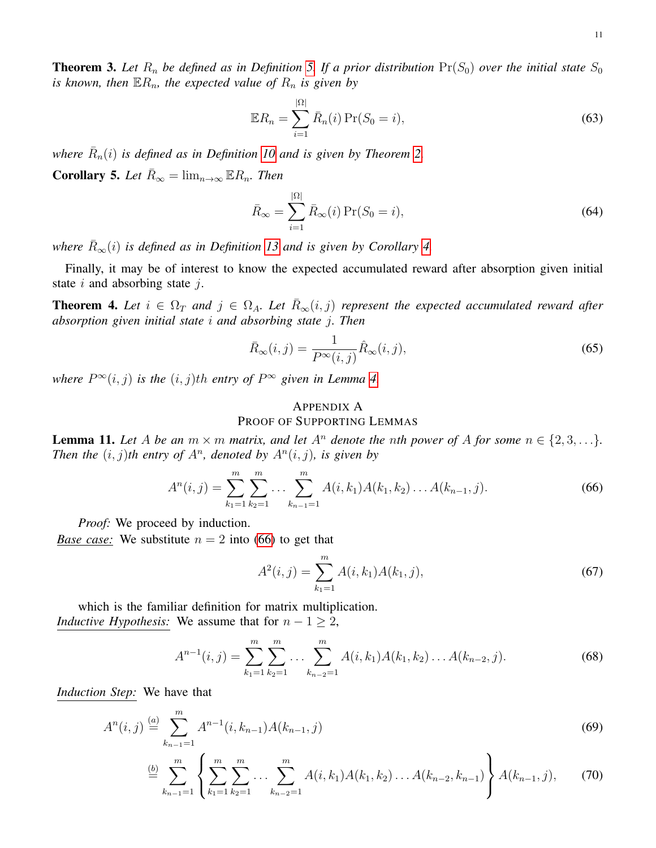11

**Theorem 3.** Let  $R_n$  be defined as in Definition [5.](#page-1-6) If a prior distribution  $Pr(S_0)$  over the initial state  $S_0$ *is known, then*  $\mathbb{E}R_n$ *, the expected value of*  $R_n$  *is given by* 

$$
\mathbb{E}R_n = \sum_{i=1}^{|\Omega|} \bar{R}_n(i) \Pr(S_0 = i), \tag{63}
$$

where  $\bar{R}_n(i)$  is defined as in Definition [10](#page-1-5) and is given by Theorem [2.](#page-9-1)

<span id="page-10-0"></span>**Corollary 5.** Let  $\overline{R}_{\infty} = \lim_{n \to \infty} \mathbb{E} R_n$ . Then

$$
\bar{R}_{\infty} = \sum_{i=1}^{|\Omega|} \bar{R}_{\infty}(i) \Pr(S_0 = i), \tag{64}
$$

*where*  $\overline{R}_{\infty}(i)$  *is defined as in Definition [13](#page-2-3) and is given by Corollary [4.](#page-9-2)* 

Finally, it may be of interest to know the expected accumulated reward after absorption given initial state  $i$  and absorbing state  $j$ .

**Theorem 4.** Let  $i \in \Omega_T$  and  $j \in \Omega_A$ . Let  $R_\infty(i,j)$  represent the expected accumulated reward after *absorption given initial state* i *and absorbing state* j*. Then*

$$
\bar{R}_{\infty}(i,j) = \frac{1}{P^{\infty}(i,j)} \hat{R}_{\infty}(i,j),
$$
\n(65)

where  $P^{\infty}(i, j)$  *is the*  $(i, j)$ *th entry of*  $P^{\infty}$  *given in Lemma [4.](#page-3-8)* 

# <span id="page-10-2"></span>APPENDIX A PROOF OF SUPPORTING LEMMAS

<span id="page-10-1"></span>**Lemma 11.** Let A be an  $m \times m$  matrix, and let  $A^n$  denote the nth power of A for some  $n \in \{2, 3, \ldots\}$ . *Then the*  $(i, j)$ *th entry of A<sup>n</sup>, denoted by A<sup>n</sup>* $(i, j)$ *, is given by* 

<span id="page-10-3"></span>
$$
A^{n}(i,j) = \sum_{k_1=1}^{m} \sum_{k_2=1}^{m} \dots \sum_{k_{n-1}=1}^{m} A(i,k_1)A(k_1,k_2) \dots A(k_{n-1},j).
$$
 (66)

*Proof:* We proceed by induction.

*Base case:* We substitute  $n = 2$  into [\(66\)](#page-10-3) to get that

<span id="page-10-4"></span>
$$
A^{2}(i,j) = \sum_{k_{1}=1}^{m} A(i,k_{1})A(k_{1},j),
$$
\n(67)

which is the familiar definition for matrix multiplication. *Inductive Hypothesis:* We assume that for  $n - 1 \geq 2$ ,

$$
A^{n-1}(i,j) = \sum_{k_1=1}^{m} \sum_{k_2=1}^{m} \dots \sum_{k_{n-2}=1}^{m} A(i,k_1)A(k_1,k_2) \dots A(k_{n-2},j).
$$
 (68)

*Induction Step:* We have that

$$
A^{n}(i,j) \stackrel{(a)}{=} \sum_{k_{n-1}=1}^{m} A^{n-1}(i,k_{n-1}) A(k_{n-1},j)
$$
\n(69)

$$
\stackrel{(b)}{=} \sum_{k_{n-1}=1}^{m} \left\{ \sum_{k_1=1}^{m} \sum_{k_2=1}^{m} \ldots \sum_{k_{n-2}=1}^{m} A(i,k_1)A(k_1,k_2) \ldots A(k_{n-2},k_{n-1}) \right\} A(k_{n-1},j), \tag{70}
$$